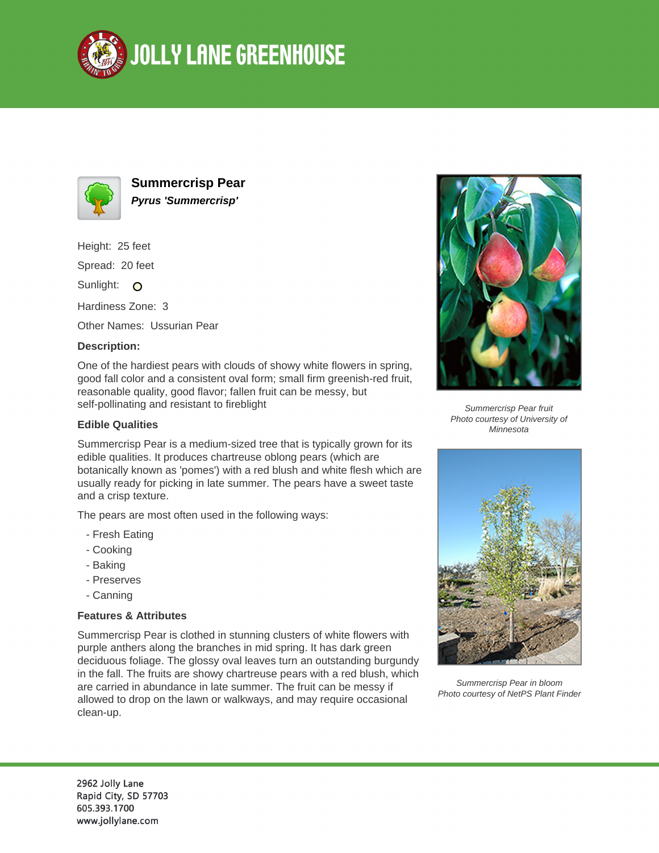



**Summercrisp Pear Pyrus 'Summercrisp'**

Height: 25 feet

Spread: 20 feet

Sunlight: O

Hardiness Zone: 3

Other Names: Ussurian Pear

## **Description:**

One of the hardiest pears with clouds of showy white flowers in spring, good fall color and a consistent oval form; small firm greenish-red fruit, reasonable quality, good flavor; fallen fruit can be messy, but self-pollinating and resistant to fireblight

## **Edible Qualities**

Summercrisp Pear is a medium-sized tree that is typically grown for its edible qualities. It produces chartreuse oblong pears (which are botanically known as 'pomes') with a red blush and white flesh which are usually ready for picking in late summer. The pears have a sweet taste and a crisp texture.

The pears are most often used in the following ways:

- Fresh Eating
- Cooking
- Baking
- Preserves
- Canning

## **Features & Attributes**

Summercrisp Pear is clothed in stunning clusters of white flowers with purple anthers along the branches in mid spring. It has dark green deciduous foliage. The glossy oval leaves turn an outstanding burgundy in the fall. The fruits are showy chartreuse pears with a red blush, which are carried in abundance in late summer. The fruit can be messy if allowed to drop on the lawn or walkways, and may require occasional clean-up.



Summercrisp Pear fruit Photo courtesy of University of Minnesota



Summercrisp Pear in bloom Photo courtesy of NetPS Plant Finder

2962 Jolly Lane Rapid City, SD 57703 605.393.1700 www.jollylane.com